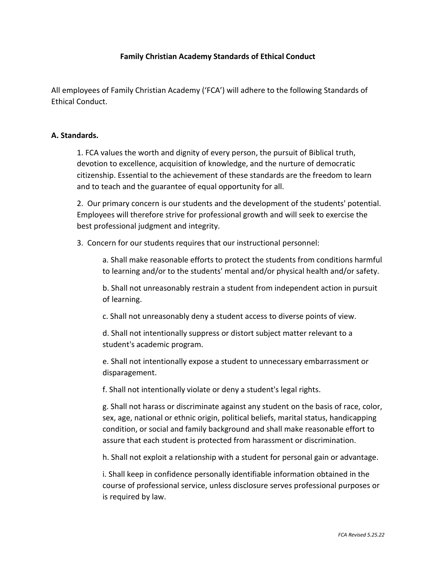# **Family Christian Academy Standards of Ethical Conduct**

All employees of Family Christian Academy ('FCA') will adhere to the following Standards of Ethical Conduct.

#### **A. Standards.**

1. FCA values the worth and dignity of every person, the pursuit of Biblical truth, devotion to excellence, acquisition of knowledge, and the nurture of democratic citizenship. Essential to the achievement of these standards are the freedom to learn and to teach and the guarantee of equal opportunity for all.

2. Our primary concern is our students and the development of the students' potential. Employees will therefore strive for professional growth and will seek to exercise the best professional judgment and integrity.

3. Concern for our students requires that our instructional personnel:

a. Shall make reasonable efforts to protect the students from conditions harmful to learning and/or to the students' mental and/or physical health and/or safety.

b. Shall not unreasonably restrain a student from independent action in pursuit of learning.

c. Shall not unreasonably deny a student access to diverse points of view.

d. Shall not intentionally suppress or distort subject matter relevant to a student's academic program.

e. Shall not intentionally expose a student to unnecessary embarrassment or disparagement.

f. Shall not intentionally violate or deny a student's legal rights.

g. Shall not harass or discriminate against any student on the basis of race, color, sex, age, national or ethnic origin, political beliefs, marital status, handicapping condition, or social and family background and shall make reasonable effort to assure that each student is protected from harassment or discrimination.

h. Shall not exploit a relationship with a student for personal gain or advantage.

i. Shall keep in confidence personally identifiable information obtained in the course of professional service, unless disclosure serves professional purposes or is required by law.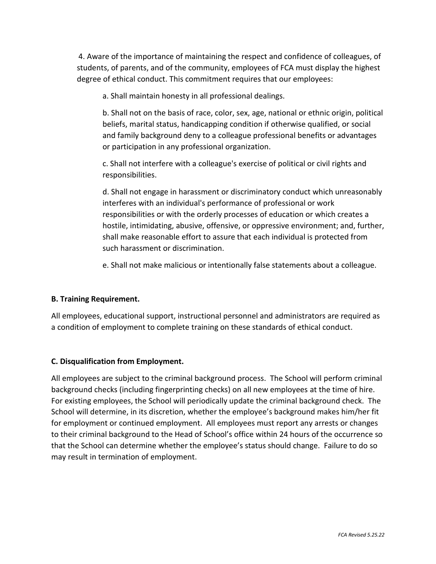4. Aware of the importance of maintaining the respect and confidence of colleagues, of students, of parents, and of the community, employees of FCA must display the highest degree of ethical conduct. This commitment requires that our employees:

a. Shall maintain honesty in all professional dealings.

b. Shall not on the basis of race, color, sex, age, national or ethnic origin, political beliefs, marital status, handicapping condition if otherwise qualified, or social and family background deny to a colleague professional benefits or advantages or participation in any professional organization.

c. Shall not interfere with a colleague's exercise of political or civil rights and responsibilities.

d. Shall not engage in harassment or discriminatory conduct which unreasonably interferes with an individual's performance of professional or work responsibilities or with the orderly processes of education or which creates a hostile, intimidating, abusive, offensive, or oppressive environment; and, further, shall make reasonable effort to assure that each individual is protected from such harassment or discrimination.

e. Shall not make malicious or intentionally false statements about a colleague.

## **B. Training Requirement.**

All employees, educational support, instructional personnel and administrators are required as a condition of employment to complete training on these standards of ethical conduct.

## **C. Disqualification from Employment.**

All employees are subject to the criminal background process. The School will perform criminal background checks (including fingerprinting checks) on all new employees at the time of hire. For existing employees, the School will periodically update the criminal background check. The School will determine, in its discretion, whether the employee's background makes him/her fit for employment or continued employment. All employees must report any arrests or changes to their criminal background to the Head of School's office within 24 hours of the occurrence so that the School can determine whether the employee's status should change. Failure to do so may result in termination of employment.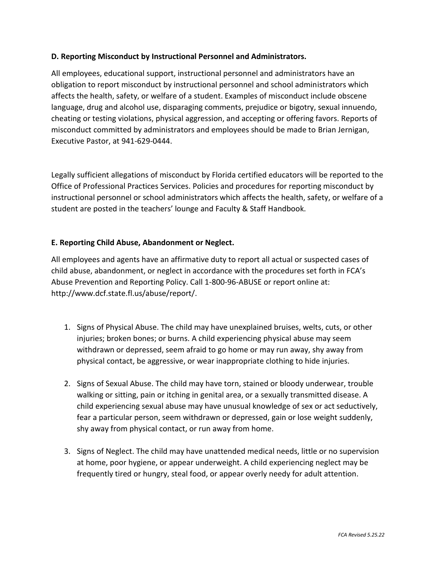# **D. Reporting Misconduct by Instructional Personnel and Administrators.**

All employees, educational support, instructional personnel and administrators have an obligation to report misconduct by instructional personnel and school administrators which affects the health, safety, or welfare of a student. Examples of misconduct include obscene language, drug and alcohol use, disparaging comments, prejudice or bigotry, sexual innuendo, cheating or testing violations, physical aggression, and accepting or offering favors. Reports of misconduct committed by administrators and employees should be made to Brian Jernigan, Executive Pastor, at 941-629-0444.

Legally sufficient allegations of misconduct by Florida certified educators will be reported to the Office of Professional Practices Services. Policies and procedures for reporting misconduct by instructional personnel or school administrators which affects the health, safety, or welfare of a student are posted in the teachers' lounge and Faculty & Staff Handbook.

# **E. Reporting Child Abuse, Abandonment or Neglect.**

All employees and agents have an affirmative duty to report all actual or suspected cases of child abuse, abandonment, or neglect in accordance with the procedures set forth in FCA's Abuse Prevention and Reporting Policy. Call 1-800-96-ABUSE or report online at: http://www.dcf.state.fl.us/abuse/report/.

- 1. Signs of Physical Abuse. The child may have unexplained bruises, welts, cuts, or other injuries; broken bones; or burns. A child experiencing physical abuse may seem withdrawn or depressed, seem afraid to go home or may run away, shy away from physical contact, be aggressive, or wear inappropriate clothing to hide injuries.
- 2. Signs of Sexual Abuse. The child may have torn, stained or bloody underwear, trouble walking or sitting, pain or itching in genital area, or a sexually transmitted disease. A child experiencing sexual abuse may have unusual knowledge of sex or act seductively, fear a particular person, seem withdrawn or depressed, gain or lose weight suddenly, shy away from physical contact, or run away from home.
- 3. Signs of Neglect. The child may have unattended medical needs, little or no supervision at home, poor hygiene, or appear underweight. A child experiencing neglect may be frequently tired or hungry, steal food, or appear overly needy for adult attention.